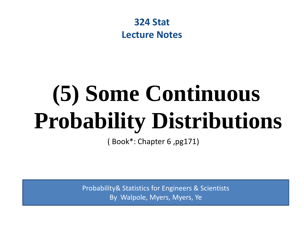

## **(5) Some Continuous Probability Distributions**

( Book\*: Chapter 6 ,pg171)

Probability& Statistics for Engineers & Scientists By Walpole, Myers, Myers, Ye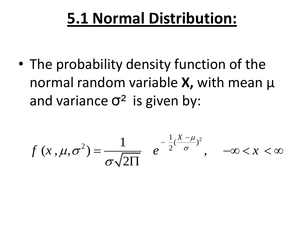### **5.1 Normal Distribution:**

• The probability density function of the normal random variable **X,** with mean µ and variance  $\sigma^2$  is given by:

$$
f(x,\mu,\sigma^2) = \frac{1}{\sigma\sqrt{2\Pi}} e^{-\frac{1}{2}(\frac{X-\mu}{\sigma})^2}, \quad -\infty < x < \infty
$$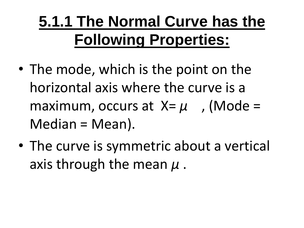## **5.1.1 The Normal Curve has the Following Properties:**

- The mode, which is the point on the horizontal axis where the curve is a maximum, occurs at  $X = \mu$ , (Mode = Median = Mean).
- The curve is symmetric about a vertical axis through the mean *µ* .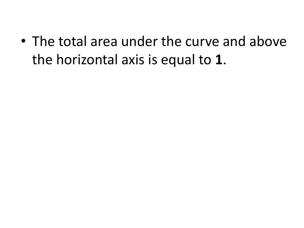• The total area under the curve and above the horizontal axis is equal to **1**.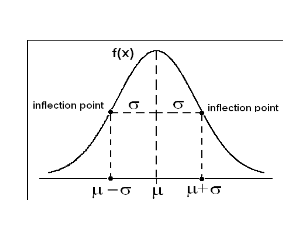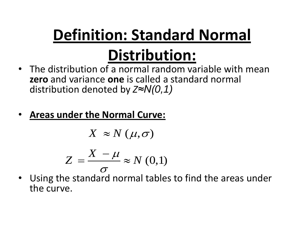## **Definition: Standard Normal Distribution:**

- The distribution of a normal random variable with mean **zero** and variance **one** is called a standard normal distribution denoted by *Z≈N(0,1)*
- **Areas under the Normal Curve:**

$$
X \approx N(\mu, \sigma)
$$

$$
Z = \frac{X - \mu}{\sigma} \approx N(0,1)
$$

• Using the standard normal tables to find the areas under the curve.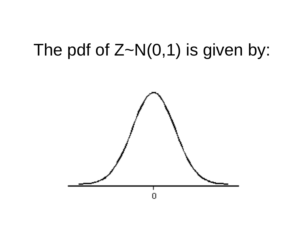## The pdf of  $Z~N(0,1)$  is given by:

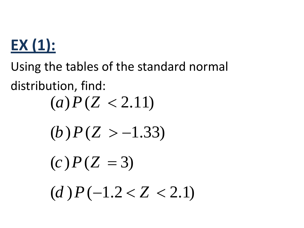## **EX (1):**

Using the tables of the standard normal distribution, find:  $(a) P(Z < 2.11)$ (*b*)  $P(Z > -1.33)$  $(c) P(Z = 3)$  $(d) P(-1.2 < Z < 2.1)$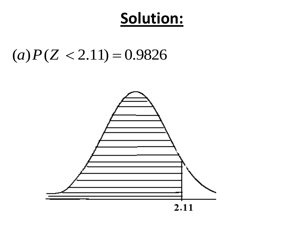#### Solution:

#### $(a)P(Z < 2.11) = 0.9826$

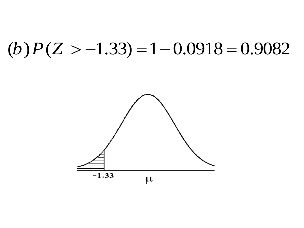### (b)  $P(Z > -1.33) = 1 - 0.0918 = 0.9082$

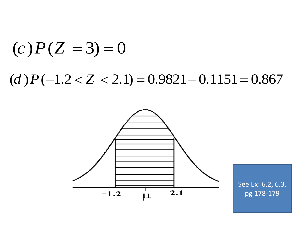# (*c*)  $P(Z = 3) = 0$ <br>(*d*)  $P(-1.2 < Z < 2.1) = 0.9821 - 0.1151 = 0.867$



See Ex: 6.2, 6.3, pg 178-179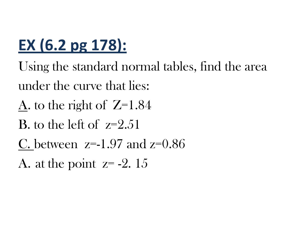## **EX (6.2 pg 178):**

- Using the standard normal tables, find the area under the curve that lies:
- A. to the right of  $Z=1.84$
- B, to the left of  $z=2.51$
- C. between  $z=1.97$  and  $z=0.86$
- A. at the point  $z = -2.15$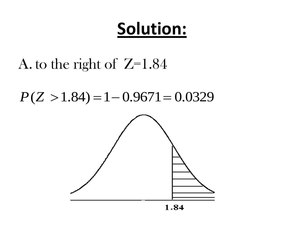## **Solution:**

#### A. to the right of  $Z=1.84$

 $P(Z > 1.84) = 1 - 0.9671 = 0.0329$ 

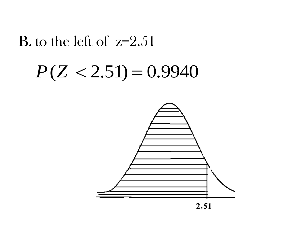#### **B**. to the left of  $z=2.51$

## $P(Z < 2.51) = 0.9940$

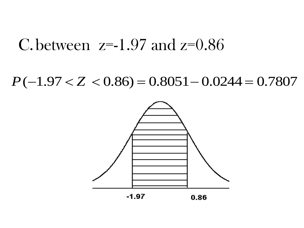#### C between  $z=1.97$  and  $z=0.86$

#### $P(-1.97 < Z < 0.86) = 0.8051 - 0.0244 = 0.7807$

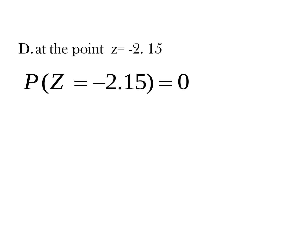#### D. at the point  $z = -2$ . 15

## $P(Z = -2.15) = 0$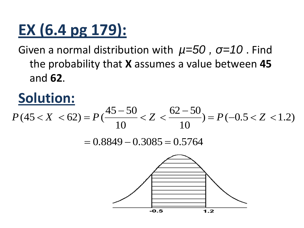## **EX (6.4 pg 179):**

Given a normal distribution with *µ=50 , σ=10* . Find the probability that **X** assumes a value between **45** and **62**.

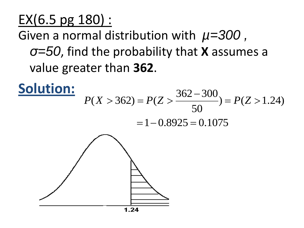EX(6.5 pg 180) :

Given a normal distribution with *µ=300 ,* 

*σ=50*, find the probability that **X** assumes a value greater than **362**.

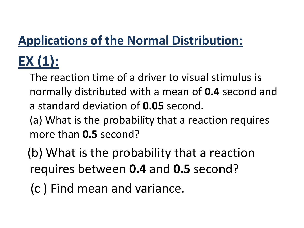#### **Applications of the Normal Distribution:**

## **EX (1):**

The reaction time of a driver to visual stimulus is normally distributed with a mean of **0.4** second and a standard deviation of **0.05** second.

(a) What is the probability that a reaction requires more than **0.5** second?

(b) What is the probability that a reaction requires between **0.4** and **0.5** second?

(c ) Find mean and variance.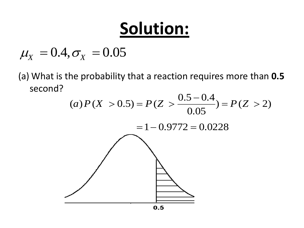## **Solution:**

 $\mu_X = 0.4, \sigma_X = 0.05$ 

(a) What is the probability that a reaction requires more than **0.5** second?

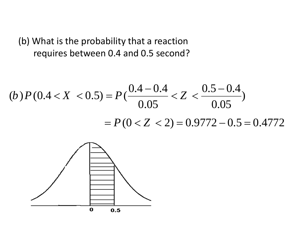(b) What is the probability that a reaction requires between 0.4 and 0.5 second?

(b) 
$$
P(0.4 < X < 0.5) = P\left(\frac{0.4 - 0.4}{0.05} < Z < \frac{0.5 - 0.4}{0.05}\right)
$$

\n $= P(0 < Z < 2) = 0.9772 - 0.5 = 0.4772$ 

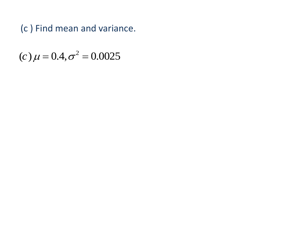(c) Find mean and variance.

(c)  $\mu = 0.4, \sigma^2 = 0.0025$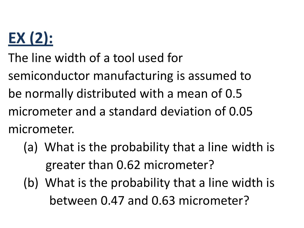## **EX (2):**

The line width of a tool used for

semiconductor manufacturing is assumed to

be normally distributed with a mean of 0.5

micrometer and a standard deviation of 0.05 micrometer.

- (a) What is the probability that a line width is greater than 0.62 micrometer?
- (b) What is the probability that a line width is between 0.47 and 0.63 micrometer?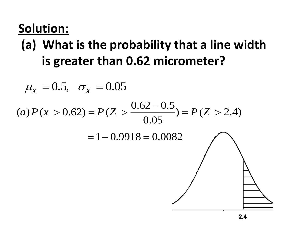#### **Solution:**

#### **(a) What is the probability that a line width is greater than 0.62 micrometer?**

$$
\mu_X = 0.5, \quad \sigma_X = 0.05
$$
\n
$$
(a) P(x > 0.62) = P(Z > \frac{0.62 - 0.5}{0.05}) = P(Z > 2.4)
$$
\n
$$
= 1 - 0.9918 = 0.0082
$$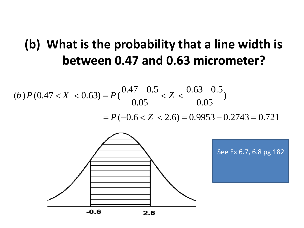## **(b) What is the probability that a line width is**

between 0.47 and 0.63 micrometer?  
\n(b) 
$$
P(0.47 < X < 0.63) = P(\frac{0.47 - 0.5}{0.05} < Z < \frac{0.63 - 0.5}{0.05})
$$
  
\n $= P(-0.6 < Z < 2.6) = 0.9953 - 0.2743 = 0.721$ 

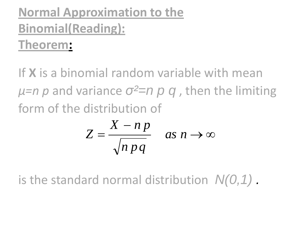#### **Normal Approximation to the Binomial(Reading): Theorem:**

If **X** is a binomial random variable with mean *µ=n p* and variance *σ²=n p q* , then the limiting form of the distribution of

$$
Z = \frac{X - n p}{\sqrt{n p q}} \quad \text{as } n \to \infty
$$

is the standard normal distribution *N(0,1) .*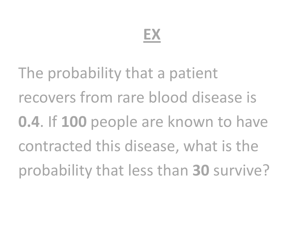### **EX**

The probability that a patient recovers from rare blood disease is **0.4**. If **100** people are known to have contracted this disease, what is the probability that less than **30** survive?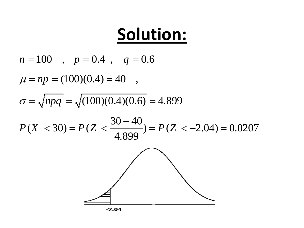$$
\begin{array}{c}\n\text{Solution:} \\
n = 100 \quad , \quad p = 0.4 \quad , \quad q = 0.6 \\
\mu = np = (100)(0.4) = 40 \quad , \\
\sigma = \sqrt{npq} = \sqrt{(100)(0.4)(0.6)} = 4.899 \\
P(X < 30) = P(Z < \frac{30 - 40}{4.899}) = P(Z < -2.04) = 0.0207 \\
\hline\n\end{array}
$$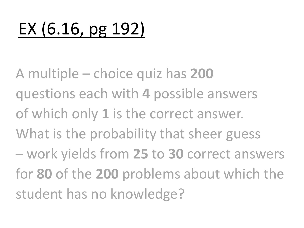## EX (6.16, pg 192)

A multiple – choice quiz has **200**  questions each with **4** possible answers of which only **1** is the correct answer. What is the probability that sheer guess – work yields from **25** to **30** correct answers for **80** of the **200** problems about which the student has no knowledge?